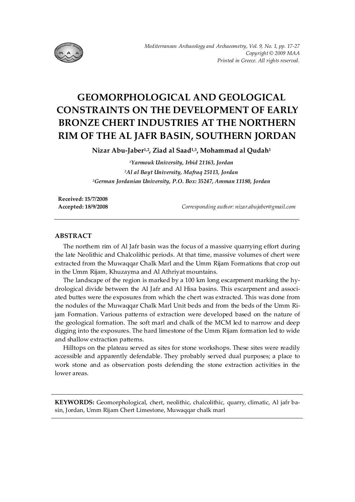

# **GEOMORPHOLOGICAL AND GEOLOGICAL CONSTRAINTS ON THE DEVELOPMENT OF EARLY BRONZE CHERT INDUSTRIES AT THE NORTHERN RIM OF THE AL JAFR BASIN, SOUTHERN JORDAN**

**Nizar Abu-Jaber1,2, Ziad al Saad1,3, Mohammad al Qudah1**

*1Yarmouk University, Irbid 21163, Jordan 2Al al Bayt University, Mafraq 25113, Jordan 3German Jordanian University, P.O. Box: 35247, Amman 11180, Jordan* 

**Received: 15/7/2008** 

**Accepted: 18/9/2008** *Corresponding author: nizar.abujaber@gmail.com* 

## **ABSTRACT**

The northern rim of Al Jafr basin was the focus of a massive quarrying effort during the late Neolithic and Chalcolithic periods. At that time, massive volumes of chert were extracted from the Muwaqqar Chalk Marl and the Umm Rijam Formations that crop out in the Umm Rijam, Khuzayma and Al Athriyat mountains.

The landscape of the region is marked by a 100 km long escarpment marking the hydrological divide between the Al Jafr and Al Hisa basins. This escarpment and associated buttes were the exposures from which the chert was extracted. This was done from the nodules of the Muwaqqar Chalk Marl Unit beds and from the beds of the Umm Rijam Formation. Various patterns of extraction were developed based on the nature of the geological formation. The soft marl and chalk of the MCM led to narrow and deep digging into the exposures. The hard limestone of the Umm Rijam formation led to wide and shallow extraction patterns.

Hilltops on the plateau served as sites for stone workshops. These sites were readily accessible and apparently defendable. They probably served dual purposes; a place to work stone and as observation posts defending the stone extraction activities in the lower areas.

**KEYWORDS:** Geomorphological, chert, neolithic, chalcolithic, quarry, climatic, Al jafr basin, Jordan, Umm Rijam Chert Limestone, Muwaqqar chalk marl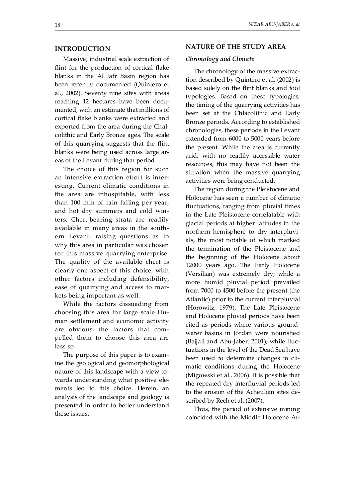# **INTRODUCTION**

Massive, industrial scale extraction of flint for the production of cortical flake blanks in the Al Jafr Basin region has been recently documented (Quintero et al., 2002). Seventy nine sites with areas reaching 12 hectares have been documented, with an estimate that millions of cortical flake blanks were extracted and exported from the area during the Chalcolithic and Early Bronze ages. The scale of this quarrying suggests that the flint blanks were being used across large areas of the Levant during that period.

The choice of this region for such an intensive extraction effort is interesting. Current climatic conditions in the area are inhospitable, with less than 100 mm of rain falling per year, and hot dry summers and cold winters. Chert-bearing strata are readily available in many areas in the southern Levant, raising questions as to why this area in particular was chosen for this massive quarrying enterprise. The quality of the available chert is clearly one aspect of this choice, with other factors including defensibility, ease of quarrying and access to markets being important as well.

While the factors dissuading from choosing this area for large scale Human settlement and economic activity are obvious, the factors that compelled them to choose this area are less so.

The purpose of this paper is to examine the geological and geomorphological nature of this landscape with a view towards understanding what positive elements led to this choice. Herein, an analysis of the landscape and geology is presented in order to better understand these issues.

#### **NATURE OF THE STUDY AREA**

#### *Chronology and Climate*

The chronology of the massive extraction described by Quintero et al. (2002) is based solely on the flint blanks and tool typologies. Based on these typologies, the timing of the quarrying activities has been set at the Chlacolithic and Early Bronze periods. According to established chronologies, these periods in the Levant extended from 6000 to 5000 years before the present. While the area is currently arid, with no readily accessible water resources, this may have not been the situation when the massive quarrying activities were being conducted.

The region during the Pleistocene and Holocene has seen a number of climatic fluctuations, ranging from pluvial times in the Late Pleistocene correlatable with glacial periods at higher latitudes in the northern hemisphere to dry interpluvials, the most notable of which marked the termination of the Pleistocene and the beginning of the Holocene about 12000 years ago. The Early Holocene (Versilian) was extremely dry; while a more humid pluvial period prevailed from 7000 to 4500 before the present (the Atlantic) prior to the current interpluvial (Horowitz, 1979). The Late Pleistocene and Holocene pluvial periods have been cited as periods where various groundwater basins in Jordan were nourished (Bajjali and Abu-Jaber, 2001), while fluctuations in the level of the Dead Sea have been used to determine changes in climatic conditions during the Holocene (Migowski et al., 2006). It is possible that the repeated dry interfluvial periods led to the erosion of the Acheulian sites described by Rech et al. (2007).

Thus, the period of extensive mining coincided with the Middle Holocene At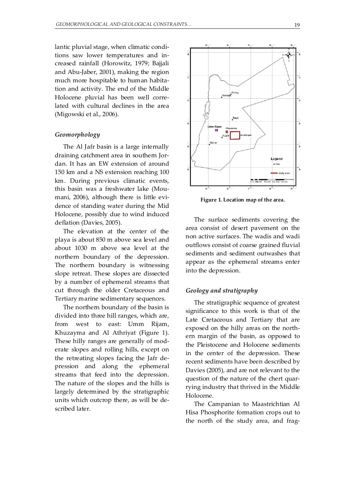lantic pluvial stage, when climatic conditions saw lower temperatures and increased rainfall (Horowitz, 1979; Bajjali and Abu-Jaber, 2001), making the region much more hospitable to human habitation and activity. The end of the Middle Holocene pluvial has been well correlated with cultural declines in the area (Migowski et al., 2006).

#### *Geomorphology*

The Al Jafr basin is a large internally draining catchment area in southern Jordan. It has an EW extension of around 150 km and a NS extension reaching 100 km. During previous climatic events, this basin was a freshwater lake (Moumani, 2006), although there is little evidence of standing water during the Mid Holocene, possibly due to wind induced deflation (Davies, 2005).

The elevation at the center of the playa is about 850 m above sea level and about 1030 m above sea level at the northern boundary of the depression. The northern boundary is witnessing slope retreat. These slopes are dissected by a number of ephemeral streams that cut through the older Cretaceous and Tertiary marine sedimentary sequences.

The northern boundary of the basin is divided into three hill ranges, which are, from west to east: Umm Rijam, Khuzayma and Al Athriyat (Figure 1). These hilly ranges are generally of moderate slopes and rolling hills, except on the retreating slopes facing the Jafr depression and along the ephemeral streams that feed into the depression. The nature of the slopes and the hills is largely determined by the stratigraphic units which outcrop there, as will be described later.



**Figure 1. Location map of the area.** 

The surface sediments covering the area consist of desert pavement on the non active surfaces. The wadis and wadi outflows consist of coarse grained fluvial sediments and sediment outwashes that appear as the ephemeral streams enter into the depression.

### *Geology and stratigraphy*

The stratigraphic sequence of greatest significance to this work is that of the Late Cretaceous and Tertiary that are exposed on the hilly areas on the northern margin of the basin, as opposed to the Pleistocene and Holocene sediments in the center of the depression. These recent sediments have been described by Davies (2005), and are not relevant to the question of the nature of the chert quarrying industry that thrived in the Middle Holocene.

The Campanian to Maastrichtian Al Hisa Phosphorite formation crops out to the north of the study area, and frag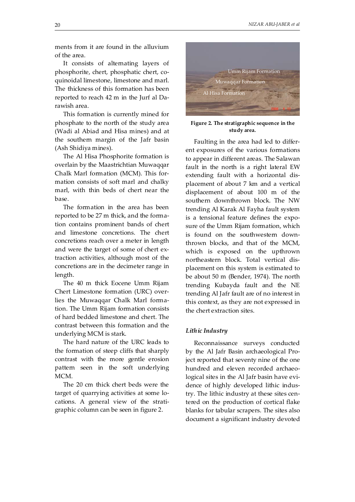ments from it are found in the alluvium of the area.

It consists of alternating layers of phosphorite, chert, phosphatic chert, coquinoidal limestone, limestone and marl. The thickness of this formation has been reported to reach 42 m in the Jurf al Darawish area.

This formation is currently mined for phosphate to the north of the study area (Wadi al Abiad and Hisa mines) and at the southern margin of the Jafr basin (Ash Shidiya mines).

The Al Hisa Phosphorite formation is overlain by the Maastrichtian Muwaqqar Chalk Marl formation (MCM). This formation consists of soft marl and chalky marl, with thin beds of chert near the base.

The formation in the area has been reported to be 27 m thick, and the formation contains prominent bands of chert and limestone concretions. The chert concretions reach over a meter in length and were the target of some of chert extraction activities, although most of the concretions are in the decimeter range in length.

The 40 m thick Eocene Umm Rijam Chert Limestone formation (URC) overlies the Muwaqqar Chalk Marl formation. The Umm Rijam formation consists of hard bedded limestone and chert. The contrast between this formation and the underlying MCM is stark.

The hard nature of the URC leads to the formation of steep cliffs that sharply contrast with the more gentle erosion pattern seen in the soft underlying MCM.

The 20 cm thick chert beds were the target of quarrying activities at some locations. A general view of the stratigraphic column can be seen in figure 2.



**Figure 2. The stratigraphic sequence in the study area.** 

Faulting in the area had led to different exposures of the various formations to appear in different areas. The Salawan fault in the north is a right lateral EW extending fault with a horizontal displacement of about 7 km and a vertical displacement of about 100 m of the southern downthrown block. The NW trending Al Karak Al Fayha fault system is a tensional feature defines the exposure of the Umm Rijam formation, which is found on the southwestern downthrown blocks, and that of the MCM, which is exposed on the upthrown northeastern block. Total vertical displacement on this system is estimated to be about 50 m (Bender, 1974). The north trending Kubayda fault and the NE trending Al Jafr fault are of no interest in this context, as they are not expressed in the chert extraction sites.

## *Lithic Industry*

Reconnaissance surveys conducted by the Al Jafr Basin archaeological Project reported that seventy nine of the one hundred and eleven recorded archaeological sites in the Al Jafr basin have evidence of highly developed lithic industry. The lithic industry at these sites centered on the production of cortical flake blanks for tabular scrapers. The sites also document a significant industry devoted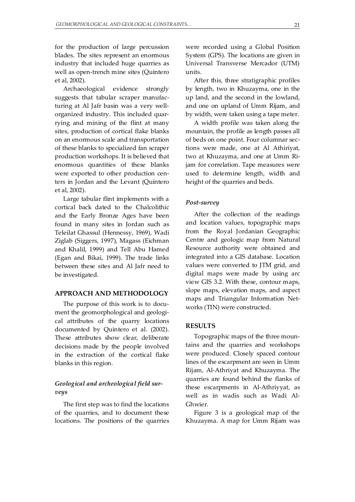for the production of large percussion blades. The sites represent an enormous industry that included huge quarries as well as open-trench mine sites (Quintero et al, 2002).

Archaeological evidence strongly suggests that tabular scraper manufacturing at Al Jafr basin was a very wellorganized industry. This included quarrying and mining of the flint at many sites, production of cortical flake blanks on an enormous scale and transportation of these blanks to specialized fan scraper production workshops. It is believed that enormous quantities of these blanks were exported to other production centers in Jordan and the Levant (Quintero et al, 2002).

Large tabular flint implements with a cortical back dated to the Chalcolithic and the Early Bronze Ages have been found in many sites in Jordan such as Teleilat Ghassul (Hennessy, 1969), Wadi Ziglab (Siggers, 1997), Magass (Eichman and Khalil, 1999) and Tell Abu Hamed (Egan and Bikai, 1999). The trade links between these sites and Al Jafr need to be investigated.

## **APPROACH AND METHODOLOGY**

The purpose of this work is to document the geomorphological and geological attributes of the quarry locations documented by Quintero et al. (2002). These attributes show clear, deliberate decisions made by the people involved in the extraction of the cortical flake blanks in this region.

# *Geological and archeological field surveys*

The first step was to find the locations of the quarries, and to document these locations. The positions of the quarries were recorded using a Global Position System (GPS). The locations are given in Universal Transverse Mercador (UTM) units.

After this, three stratigraphic profiles by length, two in Khuzayma, one in the up land, and the second in the lowland, and one on upland of Umm Rijam, and by width, were taken using a tape meter.

A width profile was taken along the mountain, the profile as length passes all of beds on one point. Four columnar sections were made, one at Al Athiriyat, two at Khuzayma, and one at Umm Rijam for correlation. Tape measures were used to determine length, width and height of the quarries and beds.

#### *Post-survey*

After the collection of the readings and location values, topographic maps from the Royal Jordanian Geographic Centre and geologic map from Natural Resource authority were obtained and integrated into a GIS database. Location values were converted to JTM grid, and digital maps were made by using arc view GIS 3.2. With these, contour maps, slope maps, elevation maps, and aspect maps and Triangular Information Networks (TIN) were constructed.

#### **RESULTS**

Topographic maps of the three mountains and the quarries and workshops were produced. Closely spaced contour lines of the escarpment are seen in Umm Rijam, Al-Athriyat and Khuzayma. The quarries are found behind the flanks of these escarpments in Al-Athriyyat, as well as in wadis such as Wadi Al-Ghwier.

Figure 3 is a geological map of the Khuzayma. A map for Umm Rijam was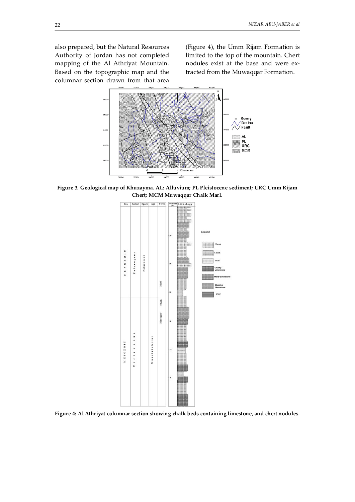also prepared, but the Natural Resources Authority of Jordan has not completed mapping of the Al Athriyat Mountain. Based on the topographic map and the columnar section drawn from that area

(Figure 4), the Umm Rijam Formation is limited to the top of the mountain. Chert nodules exist at the base and were extracted from the Muwaqqar Formation.



**Figure 3. Geological map of Khuzayma. AL: Alluvium; PL Pleistocene sediment; URC Umm Rijam Chert; MCM Muwaqqar Chalk Marl.** 



**Figure 4: Al Athriyat columnar section showing chalk beds containing limestone, and chert nodules.**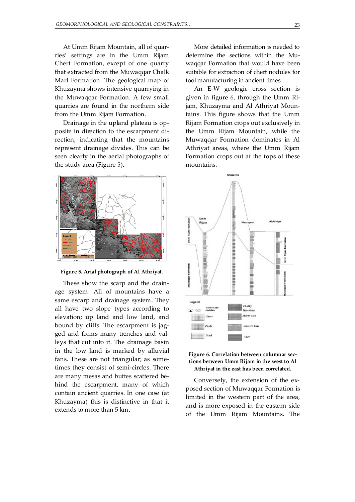At Umm Rijam Mountain, all of quarries' settings are in the Umm Rijam Chert Formation, except of one quarry that extracted from the Muwaqqar Chalk Marl Formation. The geological map of Khuzayma shows intensive quarrying in the Muwaqqar Formation. A few small quarries are found in the northern side from the Umm Rijam Formation.

Drainage in the upland plateau is opposite in direction to the escarpment direction, indicating that the mountains represent drainage divides. This can be seen clearly in the aerial photographs of the study area (Figure 5).



**Figure 5. Arial photograph of Al Athriyat.** 

These show the scarp and the drainage system. All of mountains have a same escarp and drainage system. They all have two slope types according to elevation; up land and low land, and bound by cliffs. The escarpment is jagged and forms many trenches and valleys that cut into it. The drainage basin in the low land is marked by alluvial fans. These are not triangular; as sometimes they consist of semi-circles. There are many mesas and buttes scattered behind the escarpment, many of which contain ancient quarries. In one case (at Khuzayma) this is distinctive in that it extends to more than 5 km.

More detailed information is needed to determine the sections within the Muwaqqar Formation that would have been suitable for extraction of chert nodules for tool manufacturing in ancient times.

An E-W geologic cross section is given in figure 6, through the Umm Rijam, Khuzayma and Al Athriyat Mountains. This figure shows that the Umm Rijam Formation crops out exclusively in the Umm Rijam Mountain, while the Muwaqqar Formation dominates in Al Athriyat areas, where the Umm Rijam Formation crops out at the tops of these mountains.





Conversely, the extension of the exposed section of Muwaqqar Formation is limited in the western part of the area, and is more exposed in the eastern side of the Umm Rijam Mountains. The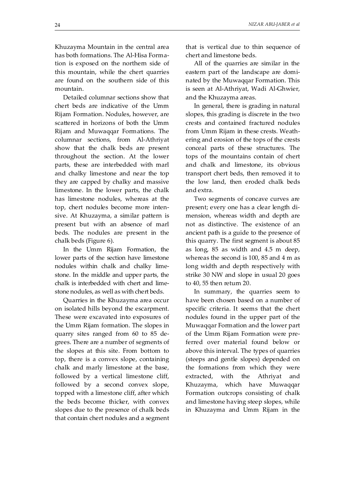Khuzayma Mountain in the central area

has both formations. The Al-Hisa Formation is exposed on the northern side of this mountain, while the chert quarries are found on the southern side of this mountain.

Detailed columnar sections show that chert beds are indicative of the Umm Rijam Formation. Nodules, however, are scattered in horizons of both the Umm Rijam and Muwaqqar Formations. The columnar sections, from Al-Athriyat show that the chalk beds are present throughout the section. At the lower parts, these are interbedded with marl and chalky limestone and near the top they are capped by chalky and massive limestone. In the lower parts, the chalk has limestone nodules, whereas at the top, chert nodules become more intensive. At Khuzayma, a similar pattern is present but with an absence of marl beds. The nodules are present in the chalk beds (Figure 6).

In the Umm Rijam Formation, the lower parts of the section have limestone nodules within chalk and chalky limestone. In the middle and upper parts, the chalk is interbedded with chert and limestone nodules, as well as with chert beds.

Quarries in the Khuzayma area occur on isolated hills beyond the escarpment. These were excavated into exposures of the Umm Rijam formation. The slopes in quarry sites ranged from 60 to 85 degrees. There are a number of segments of the slopes at this site. From bottom to top, there is a convex slope, containing chalk and marly limestone at the base, followed by a vertical limestone cliff, followed by a second convex slope, topped with a limestone cliff, after which the beds become thicker, with convex slopes due to the presence of chalk beds that contain chert nodules and a segment that is vertical due to thin sequence of chert and limestone beds.

All of the quarries are similar in the eastern part of the landscape are dominated by the Muwaqqar Formation. This is seen at Al-Athriyat, Wadi Al-Ghwier, and the Khuzayma areas.

In general, there is grading in natural slopes, this grading is discrete in the two crests and contained fractured nodules from Umm Rijam in these crests. Weathering and erosion of the tops of the crests conceal parts of these structures. The tops of the mountains contain of chert and chalk and limestone, its obvious transport chert beds, then removed it to the low land, then eroded chalk beds and extra.

Two segments of concave curves are present; every one has a clear length dimension, whereas width and depth are not as distinctive. The existence of an ancient path is a guide to the presence of this quarry. The first segment is about 85 as long, 85 as width and 4.5 m deep, whereas the second is 100, 85 and 4 m as long width and depth respectively with strike 30 NW and slope in usual 20 goes to 40, 55 then return 20.

In summary, the quarries seem to have been chosen based on a number of specific criteria. It seems that the chert nodules found in the upper part of the Muwaqqar Formation and the lower part of the Umm Rijam Formation were preferred over material found below or above this interval. The types of quarries (steeps and gentle slopes) depended on the formations from which they were extracted, with the Athriyat and Khuzayma, which have Muwaqqar Formation outcrops consisting of chalk and limestone having steep slopes, while in Khuzayma and Umm Rijam in the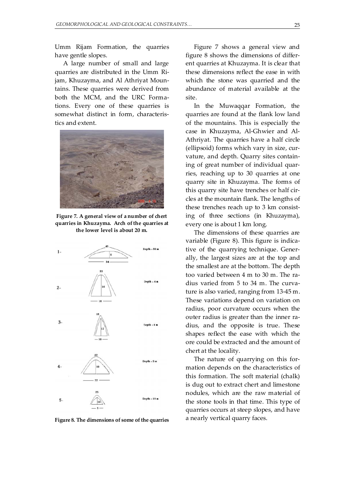Umm Rijam Formation, the quarries have gentle slopes.

A large number of small and large quarries are distributed in the Umm Rijam, Khuzayma, and Al Athriyat Mountains. These quarries were derived from both the MCM, and the URC Formations. Every one of these quarries is somewhat distinct in form, characteristics and extent.



**Figure 7. A general view of a number of chert quarries in Khuzayma. Arch of the quarries at the lower level is about 20 m.** 



**Figure 8. The dimensions of some of the quarries** 

Figure 7 shows a general view and figure 8 shows the dimensions of different quarries at Khuzayma. It is clear that these dimensions reflect the ease in with which the stone was quarried and the abundance of material available at the site.

In the Muwaqqar Formation, the quarries are found at the flank low land of the mountains. This is especially the case in Khuzayma, Al-Ghwier and Al-Athriyat. The quarries have a half circle (ellipsoid) forms which vary in size, curvature, and depth. Quarry sites containing of great number of individual quarries, reaching up to 30 quarries at one quarry site in Khuzayma. The forms of this quarry site have trenches or half circles at the mountain flank. The lengths of these trenches reach up to 3 km consisting of three sections (in Khuzayma), every one is about 1 km long.

The dimensions of these quarries are variable (Figure 8). This figure is indicative of the quarrying technique. Generally, the largest sizes are at the top and the smallest are at the bottom. The depth too varied between 4 m to 30 m. The radius varied from 5 to 34 m. The curvature is also varied, ranging from 13-45 m. These variations depend on variation on radius, poor curvature occurs when the outer radius is greater than the inner ra- $\frac{d}{dx}$  dius, and the opposite is true. These shapes reflect the ease with which the ore could be extracted and the amount of chert at the locality.

> The nature of quarrying on this formation depends on the characteristics of this formation. The soft material (chalk) is dug out to extract chert and limestone nodules, which are the raw material of the stone tools in that time. This type of quarries occurs at steep slopes, and have a nearly vertical quarry faces.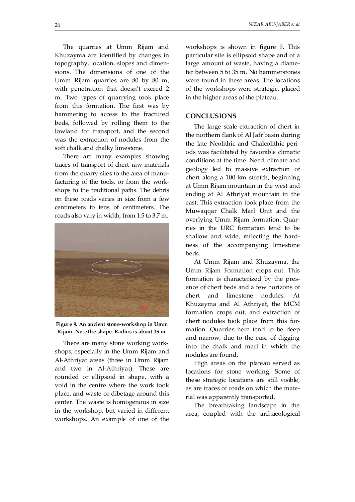The quarries at Umm Rijam and Khuzayma are identified by changes in topography, location, slopes and dimensions. The dimensions of one of the Umm Rijam quarries are 80 by 80 m, with penetration that doesn't exceed 2 m. Two types of quarrying took place from this formation. The first was by hammering to access to the fractured beds, followed by rolling them to the lowland for transport, and the second was the extraction of nodules from the soft chalk and chalky limestone.

There are many examples showing traces of transport of chert raw materials from the quarry sites to the area of manufacturing of the tools, or from the workshops to the traditional paths. The debris on these roads varies in size from a few centimeters to tens of centimeters. The roads also vary in width, from 1.5 to 3.7 m.



**Figure 9. An ancient stone-workshop in Umm Rijam. Note the shape. Radius is about 15 m.** 

There are many stone working workshops, especially in the Umm Rijam and Al-Athriyat areas (three in Umm Rijam and two in Al-Athriyat). These are rounded or ellipsoid in shape, with a void in the centre where the work took place, and waste or dibetage around this center. The waste is homogenous in size in the workshop, but varied in different workshops. An example of one of the workshops is shown in figure 9. This particular site is ellipsoid shape and of a large amount of waste, having a diameter between 5 to 35 m. No hammerstones were found in these areas. The locations of the workshops were strategic, placed in the higher areas of the plateau.

# **CONCLUSIONS**

The large scale extraction of chert in the northern flank of Al Jafr basin during the late Neolithic and Chalcolithic periods was facilitated by favorable climatic conditions at the time. Need, climate and geology led to massive extraction of chert along a 100 km stretch, beginning at Umm Rijam mountain in the west and ending at Al Athriyat mountain in the east. This extraction took place from the Muwaqqar Chalk Marl Unit and the overlying Umm Rijam formation. Quarries in the URC formation tend to be shallow and wide, reflecting the hardness of the accompanying limestone beds.

At Umm Rijam and Khuzayma, the Umm Rijam Formation crops out. This formation is characterized by the presence of chert beds and a few horizons of chert and limestone nodules. At Khuzayma and Al Athriyat, the MCM formation crops out, and extraction of chert nodules took place from this formation. Quarries here tend to be deep and narrow, due to the ease of digging into the chalk and marl in which the nodules are found.

High areas on the plateau served as locations for stone working. Some of these strategic locations are still visible, as are traces of roads on which the material was apparently transported.

The breathtaking landscape in the area, coupled with the archaeological